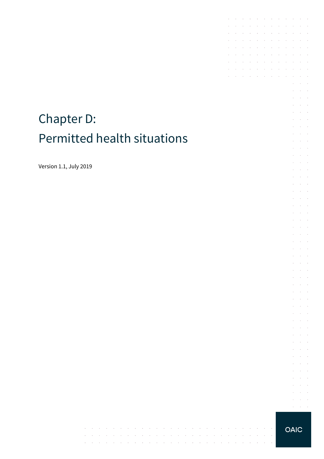# Chapter D: Permitted health situations

Version 1.1, July 2019

t,

 $\mathcal{L}$ 

 $\mathcal{A}$  $\sim$  $\sim$  $\sim$  $\sim$ 

 $\sim$   $\sim$ 

and the control

 $\Delta\phi=2\pi\pi/3$ 

 $\mathcal{A}^{\mathcal{A}}$  and  $\mathcal{A}^{\mathcal{A}}$  and  $\mathcal{A}^{\mathcal{A}}$ 

 $\sim$ 

the contract of the contract of

 $\sim$ 

 $\sim$  $\mathcal{A}$ 

 $\sim$ 

**Carl Carl Carl** 

 $\Delta \sim 100$ 

 $\sim$ 

 $\sim$ 

 $\mathcal{L}_{\rm{max}}$ 

 $\sim$ 

control of the control

 $\sim$ 

 $\sim 10^{-1}$  .

 $\sim$ 

 $\sim$ 

**OAIC** 

the contract of the contract of

 $\Delta\sim 100$ 

 $\sim$ 

 $\sim$   $\sim$ 

and a state of the

 $\mathcal{L}^{\mathcal{A}}$  . The contribution of the contribution of  $\mathcal{L}^{\mathcal{A}}$ 

 $\mathcal{A}$  . The contribution of the contribution of  $\mathcal{A}$  $\mathcal{A}$  , and  $\mathcal{A}$  , and  $\mathcal{A}$  , and  $\mathcal{A}$  , and  $\mathcal{A}$ 

 $\sim 10^{-11}$ 

 $\mathcal{L}^{\text{max}}$ 

 $\sim$  $\sim$  $\sim$ 

 $\sim$ 

÷.  $\mathcal{L}^{\text{max}}$  $\mathcal{L}^{\text{max}}$  and  $\mathcal{L}^{\text{max}}$ t,  $\bar{z}$  $\mathcal{L}$  $\omega_{\rm{max}}$ 

 $\mathcal{L}^{\mathcal{L}}$  $\Delta\sim 10^4$ 

 $\sim$  $\alpha$  ,  $\beta$ 

 $\mathcal{L}^{\mathcal{L}}$  $\sim 10^{-1}$  $\bar{\epsilon}$  $\bar{z}$ 

÷

 $\sim$  $\mathcal{L}^{\text{max}}$  .  $\sim$ t,  $\Delta\sim 100$ and a state  $\mathcal{L}$  $\sim$  $\bar{z}$ 

÷.  $\mathcal{L}^{\text{max}}$ 

 $\sim$  $\sim 10^{-1}$  .

 $\epsilon$  $\alpha$  and  $\alpha$  $\mathcal{L}^{\text{max}}(\mathcal{L}^{\text{max}})$  $\mathcal{L}$  $\Delta \sim 10^{-1}$ 

 $\sim$  $\alpha$  and  $\alpha$  $\mathcal{L}^{\text{max}}$ 

 $\overline{\phantom{a}}$ 

 $\sim$  $\sim 10^{-10}$  km

 $\mathcal{L}^{\pm}$  $\mathcal{A}^{\mathcal{A}}$  and  $\mathcal{A}^{\mathcal{A}}$ 

 $\bar{z}$  $\mathcal{L}$  $\mathcal{L}$  $\Delta\sim 100$ 

 $\mathcal{L}^{\mathcal{L}}$  $\mathcal{L}^{\text{max}}$ 

 $\mathcal{L}$  $\mathcal{L}^{\text{max}}$  $\mathcal{L}^{\text{max}}$  and  $\mathcal{L}^{\text{max}}$  $\bar{z}$  $\mathcal{L}$  $\omega_{\rm{max}}$ 

 $\mathcal{L}^{\pm}$  $\mathcal{L}^{\text{max}}$ 

 $\bar{z}$  $\alpha$  ,  $\beta$  ,  $\alpha$  $\mathcal{L}^{\text{max}}(\mathcal{L}^{\text{max}})$  $\cdot$  $\sim$ 

 $\sim$  $\mathcal{L}$  $\sim$ 

 $\mathcal{L}$ v.  $\alpha = \alpha - \beta$  $\alpha$  ,  $\alpha$  ,  $\alpha$ 

÷.

 $\sim$ 

 $\sim$ 

 $\sim$  $\sim$ 

 $\mathbb{R}^2$ 

 $\mathcal{L}$ 

 $\sim$  $\overline{\phantom{a}}$  $\mathcal{L}_{\mathcal{A}}$ 

> $\mathcal{A}$  $\bar{z}$  $\mathcal{L}^{\text{max}}$  $\sim$  $\mathcal{L}^{\text{max}}$

 $\sim$ 

 $\epsilon$ 

 $\mathcal{L}^{\pm}$  $\mathcal{L}^{\text{max}}$ 

 $\epsilon$  $\sim$ 

 $\bar{z}$ 

 $\mathcal{L}$  $\mathcal{A}$  $\sim$  $\sim$  $\bar{z}$  $\sim$  $\sim$  $\sim$  $\mathcal{L}_{\mathcal{A}}$  $\mathcal{A}$ 

t.  $\mathcal{L}$  $\sim$  $\sim$  $\sim$  $\sim$  $\sim$ 

 $\sim$ 

 $\mathcal{L}$  $\mathcal{L}$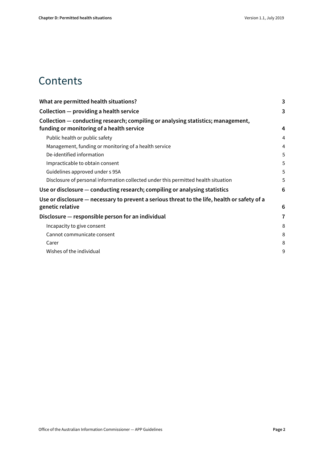### **Contents**

| What are permitted health situations?                                                        | 3              |
|----------------------------------------------------------------------------------------------|----------------|
| Collection – providing a health service                                                      | 3              |
| Collection — conducting research; compiling or analysing statistics; management,             |                |
| funding or monitoring of a health service                                                    | 4              |
| Public health or public safety                                                               | $\overline{4}$ |
| Management, funding or monitoring of a health service                                        | 4              |
| De-identified information                                                                    | 5              |
| Impracticable to obtain consent                                                              | 5              |
| Guidelines approved under s 95A                                                              | 5              |
| Disclosure of personal information collected under this permitted health situation           | 5              |
| Use or disclosure – conducting research; compiling or analysing statistics                   | 6              |
| Use or disclosure – necessary to prevent a serious threat to the life, health or safety of a |                |
| genetic relative                                                                             | 6              |
| Disclosure - responsible person for an individual                                            | 7              |
| Incapacity to give consent                                                                   | 8              |
| Cannot communicate consent                                                                   | 8              |
| Carer                                                                                        | 8              |
| Wishes of the individual                                                                     | 9              |
|                                                                                              |                |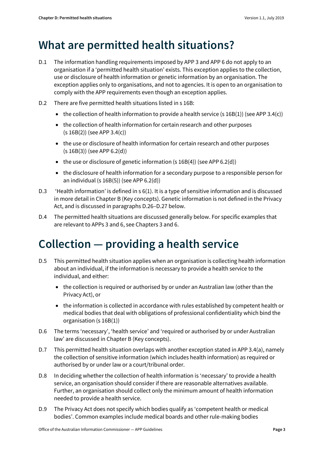# <span id="page-2-0"></span>**What are permitted health situations?**

- D.1 The information handling requirements imposed by APP 3 and APP 6 do not apply to an organisation if a 'permitted health situation' exists. This exception applies to the collection, use or disclosure of health information or genetic information by an organisation. The exception applies only to organisations, and not to agencies. It is open to an organisation to comply with the APP requirements even though an exception applies.
- D.2 There are five permitted health situations listed in s 16B:
	- the collection of health information to provide a health service (s  $16B(1)$ ) (see APP 3.4(c))
	- the collection of health information for certain research and other purposes (s 16B(2)) (see APP 3.4(c))
	- the use or disclosure of health information for certain research and other purposes (s 16B(3)) (see APP 6.2(d))
	- the use or disclosure of genetic information (s  $16B(4)$ ) (see APP 6.2(d))
	- the disclosure of health information for a secondary purpose to a responsible person for an individual (s 16B(5)) (see APP 6.2(d))
- D.3 'Health information' is defined in s 6(1). It is a type of sensitive information and is discussed in more detail in Chapter B (Key concepts). Genetic information is not defined in the Privacy Act, and is discussed in paragraph[s D.26](#page-6-1)[–D.27](#page-6-2) below.
- D.4 The permitted health situations are discussed generally below. For specific examples that are relevant to APPs 3 and 6, see Chapters 3 and 6.

# <span id="page-2-1"></span>**Collection — providing a health service**

- D.5 This permitted health situation applies when an organisation is collecting health information about an individual, if the information is necessary to provide a health service to the individual, and either:
	- the collection is required or authorised by or under an Australian law (other than the Privacy Act), or
	- the information is collected in accordance with rules established by competent health or medical bodies that deal with obligations of professional confidentiality which bind the organisation (s 16B(1))
- D.6 The terms 'necessary', 'health service' and 'required or authorised by or under Australian law' are discussed in Chapter B (Key concepts).
- D.7 This permitted health situation overlaps with another exception stated in APP 3.4(a), namely the collection of sensitive information (which includes health information) as required or authorised by or under law or a court/tribunal order.
- D.8 In deciding whether the collection of health information is 'necessary' to provide a health service, an organisation should consider if there are reasonable alternatives available. Further, an organisation should collect only the minimum amount of health information needed to provide a health service.
- <span id="page-2-2"></span>D.9 The Privacy Act does not specify which bodies qualify as 'competent health or medical bodies'. Common examples include medical boards and other rule-making bodies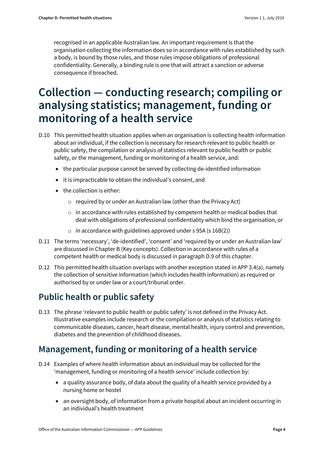recognised in an applicable Australian law. An important requirement is that the organisation collecting the information does so in accordance with rules established by such a body, is bound by those rules, and those rules impose obligations of professional confidentiality. Generally, a binding rule is one that will attract a sanction or adverse consequence if breached.

# <span id="page-3-0"></span>**Collection — conducting research; compiling or analysing statistics; management, funding or monitoring of a health service**

- D.10 This permitted health situation applies when an organisation is collecting health information about an individual, if the collection is necessary for research relevant to public health or public safety, the compilation or analysis of statistics relevant to public health or public safety, or the management, funding or monitoring of a health service, and:
	- the particular purpose cannot be served by collecting de-identified information
	- it is impracticable to obtain the individual's consent, and
	- the collection is either:
		- o required by or under an Australian law (other than the Privacy Act)
		- $\circ$  in accordance with rules established by competent health or medical bodies that deal with obligations of professional confidentiality which bind the organisation, or
		- $\circ$  in accordance with guidelines approved under s 95A (s 16B(2))
- D.11 The terms 'necessary', 'de-identified', 'consent' and 'required by or under an Australian law' are discussed in Chapter B (Key concepts). Collection in accordance with rules of a competent health or medical body is discussed in paragrap[h D.9](#page-2-2) of this chapter.
- D.12 This permitted health situation overlaps with another exception stated in APP 3.4(a), namely the collection of sensitive information (which includes health information) as required or authorised by or under law or a court/tribunal order.

### <span id="page-3-1"></span>**Public health or public safety**

<span id="page-3-3"></span>D.13 The phrase 'relevant to public health or public safety' is not defined in the Privacy Act. Illustrative examples include research or the compilation or analysis of statistics relating to communicable diseases, cancer, heart disease, mental health, injury control and prevention, diabetes and the prevention of childhood diseases.

### <span id="page-3-2"></span>**Management, funding or monitoring of a health service**

- D.14 Examples of where health information about an individual may be collected for the 'management, funding or monitoring of a health service' include collection by:
	- a quality assurance body, of data about the quality of a health service provided by a nursing home or hostel
	- an oversight body, of information from a private hospital about an incident occurring in an individual's health treatment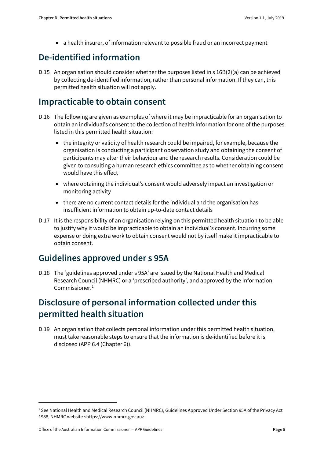• a health insurer, of information relevant to possible fraud or an incorrect payment

### <span id="page-4-0"></span>**De-identified information**

D.15 An organisation should consider whether the purposes listed in s 16B(2)(a) can be achieved by collecting de-identified information, rather than personal information. If they can, this permitted health situation will not apply.

#### <span id="page-4-1"></span>**Impracticable to obtain consent**

- <span id="page-4-5"></span>D.16 The following are given as examples of where it may be impracticable for an organisation to obtain an individual's consent to the collection of health information for one of the purposes listed in this permitted health situation:
	- the integrity or validity of health research could be impaired, for example, because the organisation is conducting a participant observation study and obtaining the consent of participants may alter their behaviour and the research results. Consideration could be given to consulting a human research ethics committee as to whether obtaining consent would have this effect
	- where obtaining the individual's consent would adversely impact an investigation or monitoring activity
	- there are no current contact details for the individual and the organisation has insufficient information to obtain up-to-date contact details
- <span id="page-4-6"></span>D.17 It is the responsibility of an organisation relying on this permitted health situation to be able to justify why it would be impracticable to obtain an individual's consent. Incurring some expense or doing extra work to obtain consent would not by itself make it impracticable to obtain consent.

#### <span id="page-4-2"></span>**Guidelines approved under s 95A**

<span id="page-4-7"></span>D.18 The 'guidelines approved under s 95A' are issued by the National Health and Medical Research Council (NHMRC) or a 'prescribed authority', and approved by the Information Commissioner.[1](#page-4-4)

### <span id="page-4-3"></span>**Disclosure of personal information collected under this permitted health situation**

D.19 An organisation that collects personal information under this permitted health situation, must take reasonable steps to ensure that the information is de-identified before it is disclosed (APP 6.4 (Chapter 6)).

**.** 

<span id="page-4-4"></span><sup>1</sup> See National Health and Medical Research Council (NHMRC), Guidelines Approved Under Section 95A of the Privacy Act 1988, NHMRC website <https://www.nhmrc.gov.au>.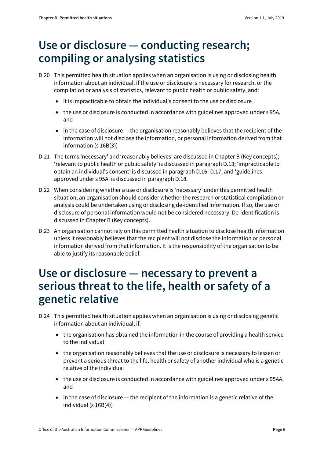# <span id="page-5-0"></span>**Use or disclosure — conducting research; compiling or analysing statistics**

- D.20 This permitted health situation applies when an organisation is using or disclosing health information about an individual, if the use or disclosure is necessary for research, or the compilation or analysis of statistics, relevant to public health or public safety, and:
	- it is impracticable to obtain the individual's consent to the use or disclosure
	- the use or disclosure is conducted in accordance with guidelines approved under s 95A, and
	- in the case of disclosure the organisation reasonably believes that the recipient of the information will not disclose the information, or personal information derived from that information (s 16B(3))
- D.21 The terms 'necessary' and 'reasonably believes' are discussed in Chapter B (Key concepts); 'relevant to public health or public safety' is discussed in paragrap[h D.13;](#page-3-3) 'impracticable to obtain an individual's consent' is discussed in paragrap[h D.16](#page-4-5)[–D.17;](#page-4-6) and 'guidelines approved under s 95A' is discussed in paragraph [D.18.](#page-4-7)
- D.22 When considering whether a use or disclosure is 'necessary' under this permitted health situation, an organisation should consider whether the research or statistical compilation or analysis could be undertaken using or disclosing de-identified information. If so, the use or disclosure of personal information would not be considered necessary. De-identification is discussed in Chapter B (Key concepts).
- D.23 An organisation cannot rely on this permitted health situation to disclose health information unless it reasonably believes that the recipient will not disclose the information or personal information derived from that information. It is the responsibility of the organisation to be able to justify its reasonable belief.

# <span id="page-5-1"></span>**Use or disclosure — necessary to prevent a serious threat to the life, health or safety of a genetic relative**

- D.24 This permitted health situation applies when an organisation is using or disclosing genetic information about an individual, if:
	- the organisation has obtained the information in the course of providing a health service to the individual
	- the organisation reasonably believes that the use or disclosure is necessary to lessen or prevent a serious threat to the life, health or safety of another individual who is a genetic relative of the individual
	- the use or disclosure is conducted in accordance with guidelines approved under s 95AA, and
	- in the case of disclosure the recipient of the information is a genetic relative of the individual (s 16B(4))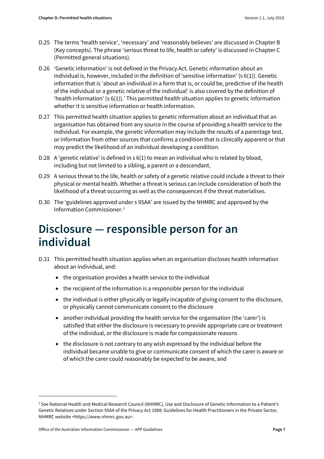- D.25 The terms 'health service', 'necessary' and 'reasonably believes' are discussed in Chapter B (Key concepts). The phrase 'serious threat to life, health or safety' is discussed in Chapter C (Permitted general situations).
- <span id="page-6-1"></span>D.26 'Genetic information' is not defined in the Privacy Act. Genetic information about an individual is, however, included in the definition of 'sensitive information' (s 6(1)). Genetic information that is 'about an [individual](http://www.austlii.edu.au/au/legis/cth/consol_act/pa1988108/s6.html#individual) in a form that is, or could be, predictive of the health of the [individual](http://www.austlii.edu.au/au/legis/cth/consol_act/pa1988108/s6.html#individual) or a genetic relative of th[e individual'](http://www.austlii.edu.au/au/legis/cth/consol_act/pa1988108/s6.html#individual) is also covered by the definition of 'health information' (s 6(1)).' This permitted health situation applies to genetic information whether it is sensitive information or health information.
- <span id="page-6-2"></span>D.27 This permitted health situation applies to genetic information about an individual that an organisation has obtained from any source in the course of providing a health service to the individual. For example, the genetic information may include the results of a parentage test, or information from other sources that confirms a condition that is clinically apparent or that may predict the likelihood of an individual developing a condition.
- D.28 A 'genetic relative' is defined in s 6(1) to mean an individual who is related by blood, including but not limited to a sibling, a parent or a descendant.
- D.29 A serious threat to the life, health or safety of a genetic relative could include a threat to their physical or mental health. Whether a threat is serious can include consideration of both the likelihood of a threat occurring as well as the consequences if the threat materialises.
- D.30 The 'guidelines approved under s 95AA' are issued by the NHMRC and approved by the Information Commissioner.[2](#page-6-3)

# <span id="page-6-0"></span>**Disclosure — responsible person for an individual**

- D.31 This permitted health situation applies when an organisation discloses health information about an individual, and:
	- the organisation provides a health service to the individual
	- the recipient of the information is a responsible person for the individual
	- the individual is either physically or legally incapable of giving consent to the disclosure, or physically cannot communicate consent to the disclosure
	- another individual providing the health service for the organisation (the 'carer') is satisfied that either the disclosure is necessary to provide appropriate care or treatment of the individual, or the disclosure is made for compassionate reasons
	- the disclosure is not contrary to any wish expressed by the individual before the individual became unable to give or communicate consent of which the carer is aware or of which the carer could reasonably be expected to be aware, and

**.** 

<span id="page-6-3"></span><sup>2</sup> See National Health and Medical Research Council (NHMRC), Use and Disclosure of Genetic Information to a Patient's Genetic Relatives under Section 95AA of the Privacy Act 1988: Guidelines for Health Practitioners in the Private Sector, NHMRC website <https://www.nhmrc.gov.au>.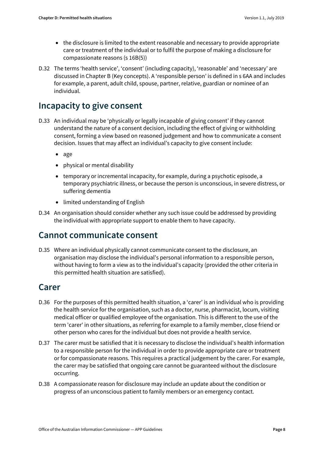- the disclosure is limited to the extent reasonable and necessary to provide appropriate care or treatment of the individual or to fulfil the purpose of making a disclosure for compassionate reasons (s 16B(5))
- D.32 The terms 'health service', 'consent' (including capacity), 'reasonable' and 'necessary' are discussed in Chapter B (Key concepts). A 'responsible person' is defined in s 6AA and includes for example, a parent, adult child, spouse, partner, relative, guardian or nominee of an individual.

### <span id="page-7-0"></span>**Incapacity to give consent**

- D.33 An individual may be 'physically or legally incapable of giving consent' if they cannot understand the nature of a consent decision, including the effect of giving or withholding consent, forming a view based on reasoned judgement and how to communicate a consent decision. Issues that may affect an individual's capacity to give consent include:
	- age
	- physical or mental disability
	- temporary or incremental incapacity, for example, during a psychotic episode, a temporary psychiatric illness, or because the person is unconscious, in severe distress, or suffering dementia
	- limited understanding of English
- D.34 An organisation should consider whether any such issue could be addressed by providing the individual with appropriate support to enable them to have capacity.

#### <span id="page-7-1"></span>**Cannot communicate consent**

D.35 Where an individual physically cannot communicate consent to the disclosure, an organisation may disclose the individual's personal information to a responsible person, without having to form a view as to the individual's capacity (provided the other criteria in this permitted health situation are satisfied).

#### <span id="page-7-2"></span>**Carer**

- D.36 For the purposes of this permitted health situation, a 'carer' is an individual who is providing the health service for the organisation, such as a doctor, nurse, pharmacist, locum, visiting medical officer or qualified employee of the organisation. This is different to the use of the term 'carer' in other situations, as referring for example to a family member, close friend or other person who cares for the individual but does not provide a health service.
- D.37 The carer must be satisfied that it is necessary to disclose the individual's health information to a responsible person for the individual in order to provide appropriate care or treatment or for compassionate reasons. This requires a practical judgement by the carer. For example, the carer may be satisfied that ongoing care cannot be guaranteed without the disclosure occurring.
- D.38 A compassionate reason for disclosure may include an update about the condition or progress of an unconscious patient to family members or an emergency contact.